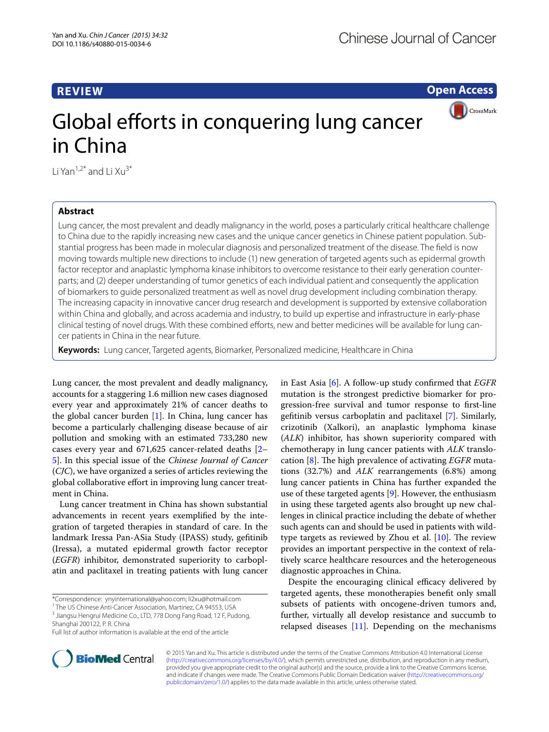## **REVIEW**

**Open Access**

CrossMark

# Global efforts in conquering lung cancer in China

Li Yan<sup>1,2\*</sup> and Li  $Xu^{3*}$ 

## **Abstract**

Lung cancer, the most prevalent and deadly malignancy in the world, poses a particularly critical healthcare challenge to China due to the rapidly increasing new cases and the unique cancer genetics in Chinese patient population. Substantial progress has been made in molecular diagnosis and personalized treatment of the disease. The field is now moving towards multiple new directions to include (1) new generation of targeted agents such as epidermal growth factor receptor and anaplastic lymphoma kinase inhibitors to overcome resistance to their early generation counterparts; and (2) deeper understanding of tumor genetics of each individual patient and consequently the application of biomarkers to guide personalized treatment as well as novel drug development including combination therapy. The increasing capacity in innovative cancer drug research and development is supported by extensive collaboration within China and globally, and across academia and industry, to build up expertise and infrastructure in early-phase clinical testing of novel drugs. With these combined efforts, new and better medicines will be available for lung cancer patients in China in the near future.

**Keywords:** Lung cancer, Targeted agents, Biomarker, Personalized medicine, Healthcare in China

Lung cancer, the most prevalent and deadly malignancy, accounts for a staggering 1.6 million new cases diagnosed every year and approximately 21% of cancer deaths to the global cancer burden [[1\]](#page-1-0). In China, lung cancer has become a particularly challenging disease because of air pollution and smoking with an estimated 733,280 new cases every year and 671,625 cancer-related deaths [[2–](#page-1-1) [5\]](#page-1-2). In this special issue of the *Chinese Journal of Cancer* (*CJC*), we have organized a series of articles reviewing the global collaborative effort in improving lung cancer treatment in China.

Lung cancer treatment in China has shown substantial advancements in recent years exemplified by the integration of targeted therapies in standard of care. In the landmark Iressa Pan-ASia Study (IPASS) study, gefitinib (Iressa), a mutated epidermal growth factor receptor (*EGFR*) inhibitor, demonstrated superiority to carboplatin and paclitaxel in treating patients with lung cancer

\*Correspondence: ynyinternational@yahoo.com; li2xu@hotmail.com <sup>1</sup> The US Chinese Anti-Cancer Association, Martinez, CA 94553, USA



Despite the encouraging clinical efficacy delivered by targeted agents, these monotherapies benefit only small subsets of patients with oncogene-driven tumors and, further, virtually all develop resistance and succumb to relapsed diseases [[11](#page-2-2)]. Depending on the mechanisms



© 2015 Yan and Xu. This article is distributed under the terms of the Creative Commons Attribution 4.0 International License [\(http://creativecommons.org/licenses/by/4.0/\)](http://creativecommons.org/licenses/by/4.0/), which permits unrestricted use, distribution, and reproduction in any medium, provided you give appropriate credit to the original author(s) and the source, provide a link to the Creative Commons license, and indicate if changes were made. The Creative Commons Public Domain Dedication waiver ([http://creativecommons.org/](http://creativecommons.org/publicdomain/zero/1.0/) [publicdomain/zero/1.0/](http://creativecommons.org/publicdomain/zero/1.0/)) applies to the data made available in this article, unless otherwise stated.

<sup>&</sup>lt;sup>3</sup> Jiangsu Hengrui Medicine Co., LTD, 778 Dong Fang Road, 12 F, Pudong, Shanghai 200122, P. R. China

Full list of author information is available at the end of the article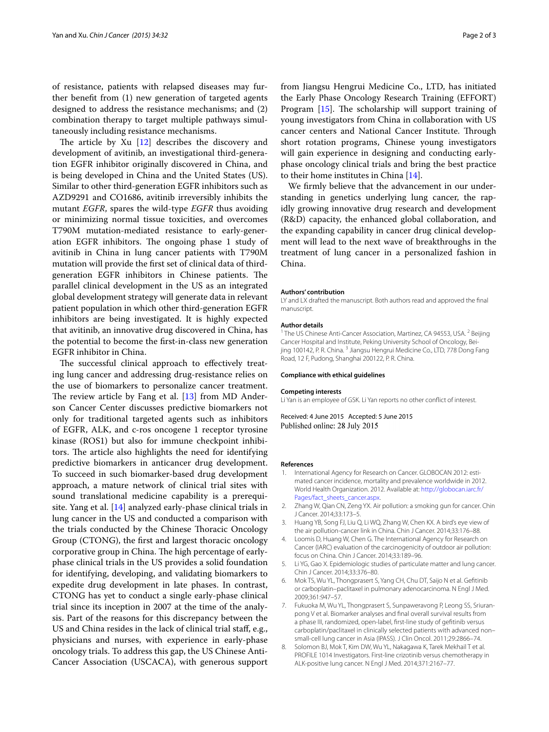of resistance, patients with relapsed diseases may further benefit from (1) new generation of targeted agents designed to address the resistance mechanisms; and (2) combination therapy to target multiple pathways simultaneously including resistance mechanisms.

The article by Xu [\[12](#page-2-3)] describes the discovery and development of avitinib, an investigational third-generation EGFR inhibitor originally discovered in China, and is being developed in China and the United States (US). Similar to other third-generation EGFR inhibitors such as AZD9291 and CO1686, avitinib irreversibly inhibits the mutant *EGFR*, spares the wild-type *EGFR* thus avoiding or minimizing normal tissue toxicities, and overcomes T790M mutation-mediated resistance to early-generation EGFR inhibitors. The ongoing phase 1 study of avitinib in China in lung cancer patients with T790M mutation will provide the first set of clinical data of thirdgeneration EGFR inhibitors in Chinese patients. The parallel clinical development in the US as an integrated global development strategy will generate data in relevant patient population in which other third-generation EGFR inhibitors are being investigated. It is highly expected that avitinib, an innovative drug discovered in China, has the potential to become the first-in-class new generation EGFR inhibitor in China.

The successful clinical approach to effectively treating lung cancer and addressing drug-resistance relies on the use of biomarkers to personalize cancer treatment. The review article by Fang et al. [[13](#page-2-4)] from MD Anderson Cancer Center discusses predictive biomarkers not only for traditional targeted agents such as inhibitors of EGFR, ALK, and c-ros oncogene 1 receptor tyrosine kinase (ROS1) but also for immune checkpoint inhibitors. The article also highlights the need for identifying predictive biomarkers in anticancer drug development. To succeed in such biomarker-based drug development approach, a mature network of clinical trial sites with sound translational medicine capability is a prerequisite. Yang et al. [[14](#page-2-5)] analyzed early-phase clinical trials in lung cancer in the US and conducted a comparison with the trials conducted by the Chinese Thoracic Oncology Group (CTONG), the first and largest thoracic oncology corporative group in China. The high percentage of earlyphase clinical trials in the US provides a solid foundation for identifying, developing, and validating biomarkers to expedite drug development in late phases. In contrast, CTONG has yet to conduct a single early-phase clinical trial since its inception in 2007 at the time of the analysis. Part of the reasons for this discrepancy between the US and China resides in the lack of clinical trial staff, e.g., physicians and nurses, with experience in early-phase oncology trials. To address this gap, the US Chinese Anti-Cancer Association (USCACA), with generous support

from Jiangsu Hengrui Medicine Co., LTD, has initiated the Early Phase Oncology Research Training (EFFORT) Program [[15\]](#page-2-6). The scholarship will support training of young investigators from China in collaboration with US cancer centers and National Cancer Institute. Through short rotation programs, Chinese young investigators will gain experience in designing and conducting earlyphase oncology clinical trials and bring the best practice to their home institutes in China [\[14](#page-2-5)].

We firmly believe that the advancement in our understanding in genetics underlying lung cancer, the rapidly growing innovative drug research and development (R&D) capacity, the enhanced global collaboration, and the expanding capability in cancer drug clinical development will lead to the next wave of breakthroughs in the treatment of lung cancer in a personalized fashion in China.

#### **Authors' contribution**

LY and LX drafted the manuscript. Both authors read and approved the final manuscript.

#### **Author details**

<sup>1</sup> The US Chinese Anti-Cancer Association, Martinez, CA 94553, USA.<sup>2</sup> Beijing Cancer Hospital and Institute, Peking University School of Oncology, Beijing 100142, P. R. China. <sup>3</sup> Jiangsu Hengrui Medicine Co., LTD, 778 Dong Fang Road, 12 F, Pudong, Shanghai 200122, P. R. China.

#### **Compliance with ethical guidelines**

#### **Competing interests**

Li Yan is an employee of GSK. Li Yan reports no other conflict of interest.

Received: 4 June 2015 Accepted: 5 June 2015 Published online: 28 July 2015

#### **References**

- <span id="page-1-0"></span>1. International Agency for Research on Cancer. GLOBOCAN 2012: estimated cancer incidence, mortality and prevalence worldwide in 2012. World Health Organization. 2012. Available at: [http://globocan.iarc.fr/](http://globocan.iarc.fr/Pages/fact_sheets_cancer.aspx) [Pages/fact\\_sheets\\_cancer.aspx](http://globocan.iarc.fr/Pages/fact_sheets_cancer.aspx).
- <span id="page-1-1"></span>2. Zhang W, Qian CN, Zeng YX. Air pollution: a smoking gun for cancer. Chin J Cancer. 2014;33:173–5.
- 3. Huang YB, Song FJ, Liu Q, Li WQ, Zhang W, Chen KX. A bird's eye view of the air pollution-cancer link in China. Chin J Cancer. 2014;33:176–88.
- Loomis D, Huang W, Chen G. The International Agency for Research on Cancer (IARC) evaluation of the carcinogenicity of outdoor air pollution: focus on China. Chin J Cancer. 2014;33:189–96.
- <span id="page-1-2"></span>5. Li YG, Gao X. Epidemiologic studies of particulate matter and lung cancer. Chin J Cancer. 2014;33:376–80.
- <span id="page-1-3"></span>6. Mok TS, Wu YL, Thongprasert S, Yang CH, Chu DT, Saijo N et al. Gefitinib or carboplatin–paclitaxel in pulmonary adenocarcinoma. N Engl J Med. 2009;361:947–57.
- <span id="page-1-4"></span>7. Fukuoka M, Wu YL, Thongprasert S, Sunpaweravong P, Leong SS, Sriuranpong V et al. Biomarker analyses and final overall survival results from a phase III, randomized, open-label, first-line study of gefitinib versus carboplatin/paclitaxel in clinically selected patients with advanced non– small-cell lung cancer in Asia (IPASS). J Clin Oncol. 2011;29:2866–74.
- <span id="page-1-5"></span>8. Solomon BJ, Mok T, Kim DW, Wu YL, Nakagawa K, Tarek Mekhail T et al. PROFILE 1014 Investigators. First-line crizotinib versus chemotherapy in ALK-positive lung cancer. N Engl J Med. 2014;371:2167–77.